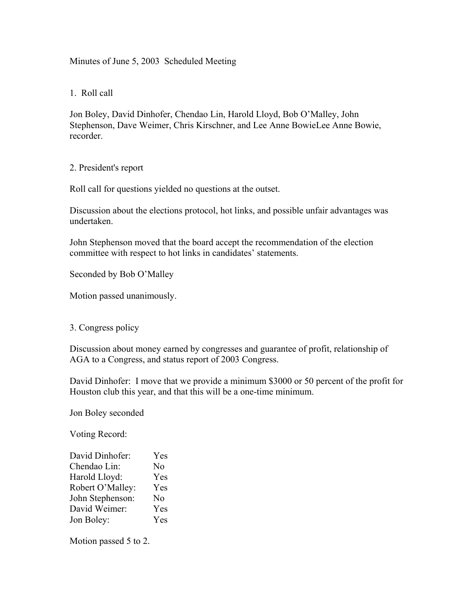Minutes of June 5, 2003 Scheduled Meeting

1. Roll call

Jon Boley, David Dinhofer, Chendao Lin, Harold Lloyd, Bob O'Malley, John Stephenson, Dave Weimer, Chris Kirschner, and Lee Anne BowieLee Anne Bowie, recorder.

2. President's report

Roll call for questions yielded no questions at the outset.

Discussion about the elections protocol, hot links, and possible unfair advantages was undertaken.

John Stephenson moved that the board accept the recommendation of the election committee with respect to hot links in candidates' statements.

Seconded by Bob O'Malley

Motion passed unanimously.

3. Congress policy

Discussion about money earned by congresses and guarantee of profit, relationship of AGA to a Congress, and status report of 2003 Congress.

David Dinhofer: I move that we provide a minimum \$3000 or 50 percent of the profit for Houston club this year, and that this will be a one-time minimum.

Jon Boley seconded

Voting Record:

| David Dinhofer:  | Yes            |
|------------------|----------------|
| Chendao Lin:     | N <sub>0</sub> |
| Harold Lloyd:    | Yes            |
| Robert O'Malley: | Yes            |
| John Stephenson: | N <sub>0</sub> |
| David Weimer:    | Yes            |
| Jon Boley:       | Yes            |

Motion passed 5 to 2.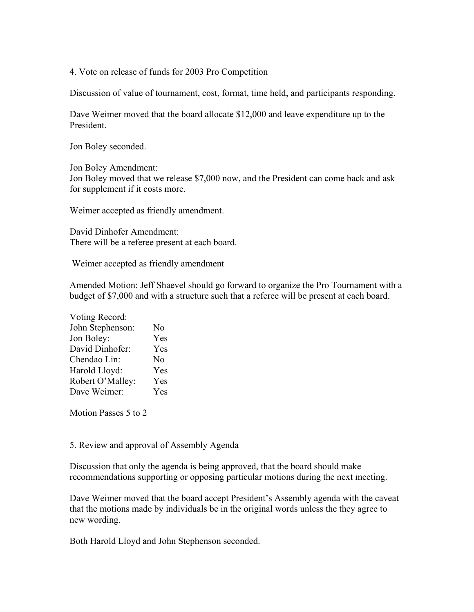4. Vote on release of funds for 2003 Pro Competition

Discussion of value of tournament, cost, format, time held, and participants responding.

Dave Weimer moved that the board allocate \$12,000 and leave expenditure up to the President.

Jon Boley seconded.

Jon Boley Amendment: Jon Boley moved that we release \$7,000 now, and the President can come back and ask for supplement if it costs more.

Weimer accepted as friendly amendment.

David Dinhofer Amendment: There will be a referee present at each board.

Weimer accepted as friendly amendment

Amended Motion: Jeff Shaevel should go forward to organize the Pro Tournament with a budget of \$7,000 and with a structure such that a referee will be present at each board.

| Voting Record:   |                |
|------------------|----------------|
| John Stephenson: | N <sub>0</sub> |
| Jon Boley:       | Yes            |
| David Dinhofer:  | Yes            |
| Chendao Lin:     | N <sub>0</sub> |
| Harold Lloyd:    | Yes            |
| Robert O'Malley: | Yes            |
| Dave Weimer:     | Yes            |

Motion Passes 5 to 2

5. Review and approval of Assembly Agenda

Discussion that only the agenda is being approved, that the board should make recommendations supporting or opposing particular motions during the next meeting.

Dave Weimer moved that the board accept President's Assembly agenda with the caveat that the motions made by individuals be in the original words unless the they agree to new wording.

Both Harold Lloyd and John Stephenson seconded.